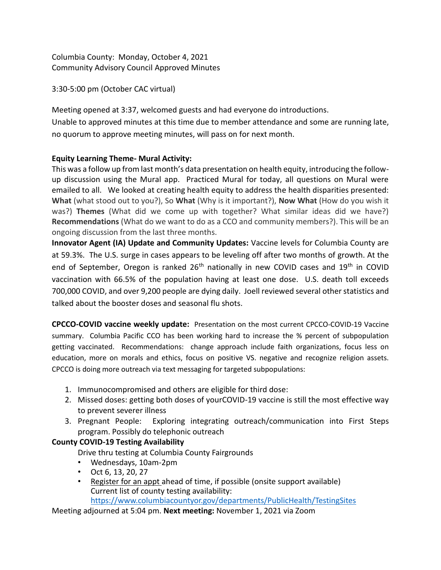Columbia County: Monday, October 4, 2021 Community Advisory Council Approved Minutes

3:30-5:00 pm (October CAC virtual)

Meeting opened at 3:37, welcomed guests and had everyone do introductions. Unable to approved minutes at this time due to member attendance and some are running late, no quorum to approve meeting minutes, will pass on for next month.

## **Equity Learning Theme- Mural Activity:**

This was a follow up from last month's data presentation on health equity, introducing the followup discussion using the Mural app. Practiced Mural for today, all questions on Mural were emailed to all. We looked at creating health equity to address the health disparities presented: **What** (what stood out to you?), So **What** (Why is it important?), **Now What** (How do you wish it was?) **Themes** (What did we come up with together? What similar ideas did we have?) **Recommendations** (What do we want to do as a CCO and community members?). This will be an ongoing discussion from the last three months.

**Innovator Agent (IA) Update and Community Updates:** Vaccine levels for Columbia County are at 59.3%. The U.S. surge in cases appears to be leveling off after two months of growth. At the end of September, Oregon is ranked  $26<sup>th</sup>$  nationally in new COVID cases and  $19<sup>th</sup>$  in COVID vaccination with 66.5% of the population having at least one dose. U.S. death toll exceeds 700,000 COVID, and over 9,200 people are dying daily. Joell reviewed several other statistics and talked about the booster doses and seasonal flu shots.

**CPCCO-COVID vaccine weekly update:** Presentation on the most current CPCCO-COVID-19 Vaccine summary. Columbia Pacific CCO has been working hard to increase the % percent of subpopulation getting vaccinated. Recommendations: change approach include faith organizations, focus less on education, more on morals and ethics, focus on positive VS. negative and recognize religion assets. CPCCO is doing more outreach via text messaging for targeted subpopulations:

- 1. Immunocompromised and others are eligible for third dose:
- 2. Missed doses: getting both doses of yourCOVID-19 vaccine is still the most effective way to prevent severer illness
- 3. Pregnant People: Exploring integrating outreach/communication into First Steps program. Possibly do telephonic outreach

## **County COVID-19 Testing Availability**

Drive thru testing at Columbia County Fairgrounds

- Wednesdays, 10am-2pm
- Oct 6, 13, 20, 27
- [Register for an appt a](https://www.doineedacovid19test.com/)head of time, if possible (onsite support available) Current list of county testing availability: <https://www.columbiacountyor.gov/departments/PublicHealth/TestingSites>

Meeting adjourned at 5:04 pm. **Next meeting:** November 1, 2021 via Zoom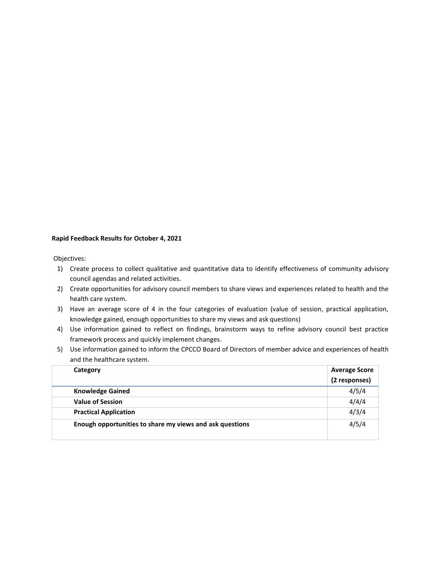## **Rapid Feedback Results for October 4, 2021**

Objectives:

- 1) Create process to collect qualitative and quantitative data to identify effectiveness of community advisory council agendas and related activities.
- 2) Create opportunities for advisory council members to share views and experiences related to health and the health care system.
- 3) Have an average score of 4 in the four categories of evaluation (value of session, practical application, knowledge gained, enough opportunities to share my views and ask questions)
- 4) Use information gained to reflect on findings, brainstorm ways to refine advisory council best practice framework process and quickly implement changes.
- 5) Use information gained to inform the CPCCO Board of Directors of member advice and experiences of health and the healthcare system.

| Category                                                 | <b>Average Score</b><br>(2 responses) |
|----------------------------------------------------------|---------------------------------------|
| <b>Knowledge Gained</b>                                  | 4/5/4                                 |
| <b>Value of Session</b>                                  | 4/4/4                                 |
| <b>Practical Application</b>                             | 4/3/4                                 |
| Enough opportunities to share my views and ask questions | 4/5/4                                 |